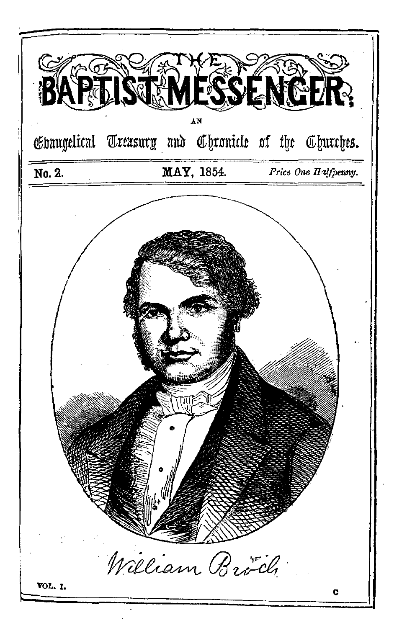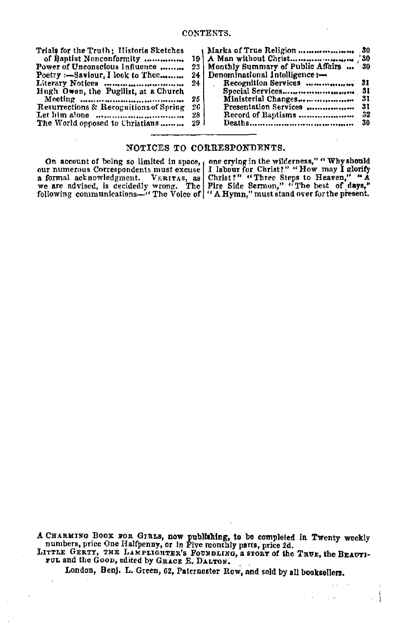| Trials for the Truth; Historic Sketches |                 |                                          |      |
|-----------------------------------------|-----------------|------------------------------------------|------|
| of Baptist Nonconformity                |                 |                                          |      |
| Power of Unconscious Influence          |                 | 23 Monthly Summary of Public Affairs  30 |      |
| Poetry :- Saviour I look to Thee        |                 | 24   Denominational Intelligence :-      |      |
|                                         | 24 <sub>1</sub> |                                          |      |
| Hugh Owen, the Pugilist, at a Church    |                 |                                          |      |
|                                         | 25 i            | Ministerial Changes                      | - 31 |
| Resurrections & Recognitions of Spring  | 26.             | Presentation Services                    | 31   |
|                                         | 28              |                                          |      |
| The World opposed to Christians         | -29-1           |                                          | 30   |
|                                         |                 |                                          |      |

### NOTICES TO CORRESPONDENTS.

On account of being so limited in space, a one crying in the wilderness," "Why should our numerous Correspondents must excuse | I labour for Christ?" "How may I glorify a formal acknowledgment. VERITAS, as Christ?" "Three Steps to Heaven," "A we are advised, is decidedly wrong. The Pire Edite Sermon," "The best of days," we are advised, is decidedly wrong. The Pire Side Sermon," "The best

A CHARMING BOOK FOR GIRLS, now publishing, to be completed in Twenty weekly numbers, price One Halfpenny, or in Five monthly parts, price 2d. LITTLE GERTY, THE LAMPLIGHTER'S FOUNDLING, A STORY of the TRUE, the BEAUTI-

FUL and the GOOD, edited by GRACE E. DALTON.

London, Benj. L. Green, 62. Paternoster Row, and sold by all booksellers.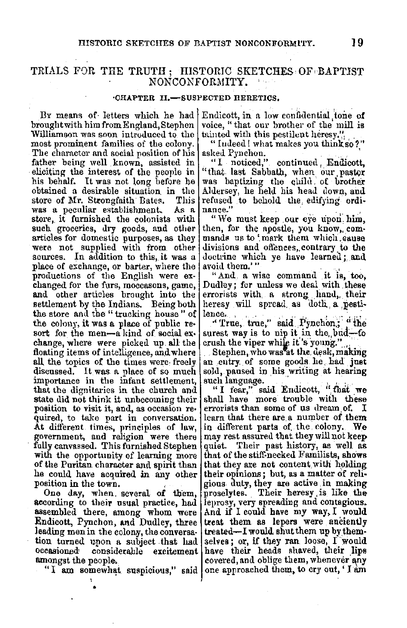## TRIALS FOR THE TRUTH; HISTORIC SKETCHES OF BAPTIST NONCONFORMITY.

### **·CH.APTER** II.-SUSPECTED HERETICS,

By means of letters which he had brought with him from England, Stephen Williamson was soon introduced to the most prominent families of the colony. The character and social position of his | asked Pynchon. father being well known, assisted in eliciting the interest of the people in his behalf. It was not long before he obtained a desirable situation in the store of Mr. Strongfaith Bates. This was a peculiar establishment. As a store, it furnished the colonists with such groceries, dry goods, and other articles for domestic purposes, as they were not supplied with from other sources. In addition to this, it was a place of exchange, or barter, where the productions of the English were exchanged for the furs, moccasons, game, and other articles brought into the settlement by the Indians. Being both the store and the "trucking house " of the colony, it was a place of public resort for the men-akind of social exchange, where were picked up all the floating items of intelligence, and where all the topics of the times were-freely discussed. It was a place of so much importance in the infant settlement, that the dignitaries in the church and state did not think it unbecoming their<br>position to visit it, and, as occasion required, to take part in conversation. **At** different times, prineiples of law, government, and religion were there fully canvassed. This furnished Stephen with the opportunity of learning more of the Puritan character and spirit than he could have acquired in any other position in the town, .

One day, when several of them, according to their usual practice, had assembled there, among whom were Endicott, Pynchon, and Dudley, three leading men in the colony, the conversa-<br>tion turned upon a subject that had occasioned considerable excitement amongst the people.

"I am somewhat suspicious," said

Endicott, in a low confidential tone of voice, "that our brother of the mill is tainted with this pestilent heresy."

"Iudeed ! what makes you think so?"

"I noticed," continued, Endicott, "that last Sabbath, when our pastor was baptizing the child of brother Aldersey, he held his head down, and refused to behold the edifying ordi**nance/'** · . .'

"We must keep our eye upon him, then, for the apostle, you know, commands us to 'mark them which.cause divisions and offences, contrary to the doctrine which ye have learned; and avoid them.'"

" And a wise command it is, too, Dudley; for unless we deal with these errorists with, a strong hand, their heresy will spread as doth a pesti-

lence.<br>"True, true," said Pynchon; "the surest way is to nip it in the,  $bnd$ -fo

crush the viper while it's young." ... Stephen, who was at the desk, making an entry. of some goods. le, had just sold, paused in his writing at hearing such language.

"I fear," said Endicott, "that we shall have more trouble with these errorists than some of us dream of,  $I$ learn that there are a number of them in different parts of the colony. We may rest assured that theywillnotkeep quiet. Their past history, as well as that of the stiff-necked Familists, shows that they are not content with holding their opinions; but, as a matter of religious. duty, they are active . in making proselytes. Their heresy is like the leprosy, very spreading and contagious. And if I could have my **way,** I would treat them as lepers were anciently  $treated-I would shut them up by them$ selves; or, if they ran. loose,  $I$  would have their heads shaved, their lips<br>covered, and oblige them, whenever any one approached them, to cry out, ' I am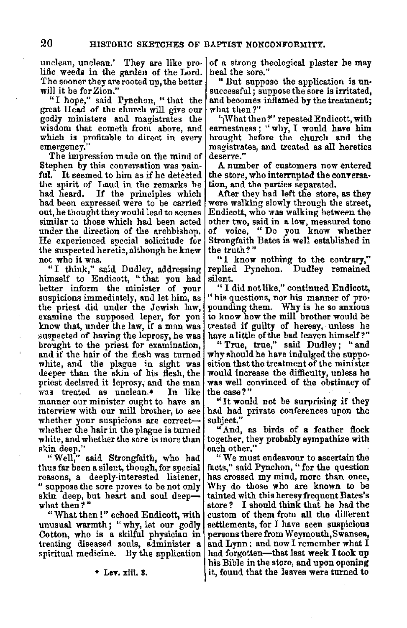unclean, unclean.' They are like pro• lific weeds in the garden of the Lord. The sooner they are rooted up, the better will it be for Zion."

"I hope," said Pynchon, "that the great Head of the church will give our godly ministers and magistrates the wisdom that cometh from above, and which is profitable to direct in every emergency."

The impression made on the mind of Stephen by this conversation was pain**ful.** It seemed to him as if he detected the spirit of Laud in the remarks he<br>had heard. If the principles which If the principles which had been expressed were to be carried out, he thought they would lead to scenes similar to those which had been acted under the direction of the archbishop. He experienced special solicitude for the suspected heretic, although he knew<br>not who it was.

"I think," said Dudley, addressing himself to Endicott, " that you had better inform the minister of your suspicions immediately, and let him, as the priest did under the Jewish law, examine the supposed lener, for you know that, under the law, if a man was suspected of having the leprosy, he was brought to the priest for examination. and if the hair of the flesh was turned white, and the plague in sight was deeper than the skin of his flesh, the priest declared it leprosy, and the man<br>manner our minister ought to have an<br>interview with our mill brother, to see<br>interview with our mill brother, to see<br>whether your suspicions are correct-whether the hair in the plague is turned white, and whether the sore is more than skin deep."

"Well," **said** Strongfaith, who had thus far been a silent, though, for special reasons, a deeply-interested listener, " suppose the sore proves to be not only skin deep, but heart and soul deepwhat then?"

"What then !" echoed Endicott, with unusual warmth; " why, let our godly Cotton, who is **a** skilful physician in treating diseased souls, administer **a**  spiritual medicine. By the application

\* **LeT. xiii. 3.** 

of a strong theological plaster he may heal the sore."<br>"But suppose the application is un-

successful; suppose the sore is irritated, and becomes inflamed by the treatment; what then?"

'·1What then?" repeated Endicott, with earnestness; "why, I would have him brought before the church and the magistrates, and treated as all heretics deserve.''

A number of customers now entered the store, who interrupted the conversa-<br>tion, and the parties separated.<br>After they had left the store, as they

were walking slowly through the street, Endicott, who was walking between the other two, said in **a** low, measured tone of voice, " Do you know whether Strongfaith Bates is well established in the truth?"

"I know nothing to the contrary,"<br>replied Pynchon, Dudley remained Dudley remained silent.

" I did not like," continued Endicott, "his questions, nor his manner of pro• pounding them. Why is he so anxious to know how the mill brother would be treated if guilty of heresy, unless he have a little of the bad leaven himself?"

" True, true," said Dudley: " and why should he have indulged the supposition that the treatment of the minister<br>would increase the difficulty, unless he was well convinced of the obstinacy of the case?"

"It would not be surprising if they had had private conferences upon the subject.''

"And, as birds of **a** feather flock together, they probably sympathize with each other."

"We must endeavour to ascertain the facts," said Pynchon, "for the question has crossed my mind, more than once, Why do those who are known to be tainted with this heresy frequent Bates's store? I should think that he had the custom of them from all the different settlements, for I have seen suspicious persons there from Weymouth,Swansea, and Lynn: and now I remember what I had forgotten-that last **week** I took up his Bible in the store, and upon opening it, found that the leaves were turned to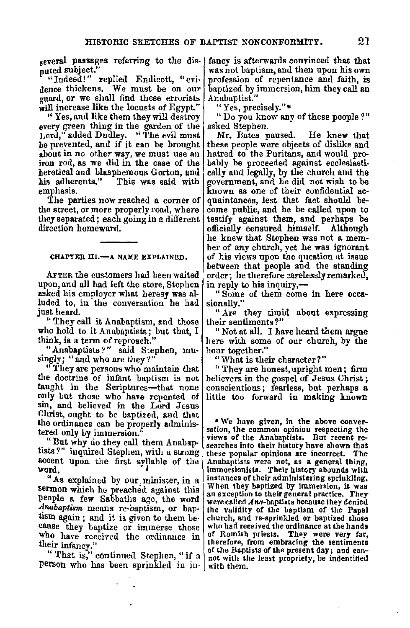several passages referring to the disputed subject."

" "Indeed!" replied Endicott, "evi-<br>dence thickens. We must be on our guard, or we shall find these errorists<br>will increase like the locusts of Egypt."

"Yes, and like them they will destroy every green thing in the garden of the Lord," added Dudley. "The evil must be prevented, and if it can be brought about in no other way, we must use an iron rod, as we did in the case of the heretical and blasphemous Gorton, and his adherents." This was said with emphasis.

The parties now reached a corner of the street, or more properly road, where they separated; each going in a different direction homeward.

#### CHAPTER III.- A NAME EXPLAINED.

AFTER the customers had been waited upon, and all had left the store, Stephen asked his employer what heresy was alluded to, in the conversation he had just heard.

"They call it Anabaptism, and those who hold to it Anabaptists; but that, I think, is a term of reproach."

"Anabaptists?" said Stephen, mu-<br>singly; "and who are they?"

"They are persons who maintain that the doctrine of infant baptism is not taught in the Scriptures-that none only but those who have repented of sin, and believed in the Lord Jesus Christ, ought to be baptized, and that the ordinance can be properly administered only by immersion."

"But why do they call them Anabaptists?" inquired Stephen, with a strong accent upon the first syllable of the word.

" As explained by our. minister, in a sermon which he preached against this people a few Sabbaths ago, the word *Anabaptism* means re-baptism, or baptism again; and it is given to them Le- cause they baptize or immerse those who have received the ordinance in

their infancy."<br>"That is," continued Stephen, "if a person who has been sprinkled in in-

fancy is afterwards convinced that that<br>was not baptism, and then upon his own profession of repentance and faith, is baptized by immersion, him they call an Anabaptist."

"Yes, precisely."•

"Do you know any of these people ? " asked Stephen.

Mr. Bates paused. He knew that these people were objects of dislike and hatred to the Puritans, and would probably be proceeded against ecclesiastically and legally, by the church and the government, and he did not wish to be quaintances, lest that fact should become public, and he be called upon to testify against them, and perhaps be officially censured himself. Although he knew that Stephen was not a member of any church, yet he was ignorant of his views upon the question at issue between that people and the standing order; he therefore carelessly remarked, in reply to his inquiry,-

" Some of them come in here occa• sionally."

" Are they timid about expressing their sentiments?"

"Not at all. I have heard them argue here with some of our church, by the hour together."

"What is their character?"

" They are honest, upright men; firm believers in the gospel of Jesus Christ;<br>conscientious; fearless, but perhaps a little too forward in making known

\* We have given, in the above conver- sation, the common opinion respecting the views of the Anabaptists. But recent re- searches into their history have shown that searches into their history have shown that<br>these popular opinions are incorrect. The Anabaptists were not, as **a** general thing, immersionlsts. Their history abounds with instances of their administering sprinkling. When they baptized by immersion, it was an exception to their general practice. They were called Ana-baptists because they denied the validity of the baptism of the Papal church, and re-sprinkled **or** baptized those who had received the ordinance at the hands of Romish priests. They were very far, therefore, from embracing the sentiments of the Baptists of the present day; and can-<br>not with the least propriety, be indentified with them,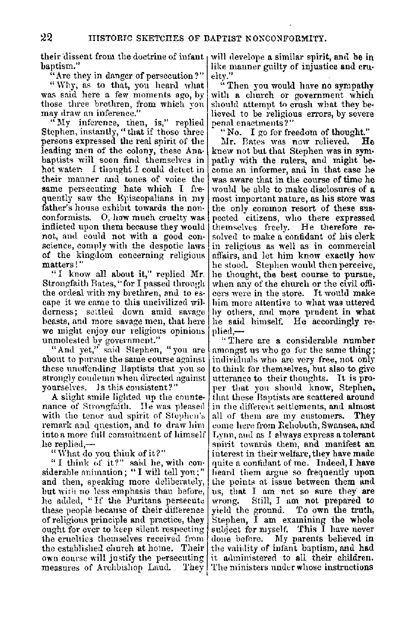their dissent from the doctrine of infant, baptism."

"Are they in danger of persecution?"

"Why, as to that, you heard what was said here a few moments ago, by those three brethren, from which you may draw an inference."

"My inference, then, is," replied<br>Stephen, instantly, "that if those three persons expressed the real spirit of the leading men of the colony, these Anabaptists will soon find themselves in hot water. I thought I could detect in their manner and tones of voice the same persecuting hate which I frequently saw the Episcopalians in my father's house exhibit towards the nonconformists. O, how much cruelty was inflicted upon them because they would not, and could not with a good conscience, comply with the despotic laws of the kingdom concerning religious matters!"

"I know all about it," replied Mr. Strongfaith Bates, "for I passed through the ordeal with my brethren, and to escape it we came to this uncivilized wilderness; settled down amid savage beasts, and more savage men, that here we might enjoy our religious opinions unmolested by government."

"And yet," said Stephen, "you are about to pursue the same course against these unoffending Baptists that you so strongly coudemn when directed against vourselves. Is this consistent?"

A slight smile lighted up the countenance of Strongfaith. He was pleased with the tenor and spirit of Stephen's remark and question, and to draw him into a more full commitment of himself he replied.-

"What do you think of it?"

"I think of it?" said he, with considerable animation: "I will tell you:" and then, speaking more deliberately, but with no less emphasis than before, he added, "If the Puritans persecute these people because of their difference of religious principle and practice, they ought for ever to keep silent respecting the cruelties themselves received from the established church at home. Their own course will justify the persecuting measures of Archbishop Laud. They

will develope a similar spirit, and be in like manner guilty of injustice and cruelty."

"Then you would have no sympathy with a church or government which should attempt to crush what they believed to be religious errors, by severe penal enactments?"

"No. I go for freedom of thought."

Mr. Bates was now relieved. He knew not but that Stephen was in sympathy with the rulers, and might become an informer, and in that case he was aware that in the course of time he would be able to make disclosures of a most important nature, as his store was the only common resort of these suspected citizens, who there expressed themselves freely. He therefore resolved to make a confidant of his clerk in religious as well as in commercial affairs, and let him know exactly how he stood. Stephen would then perceive, he thought, the best course to pursue, when any of the church or the civil officers were in the store. It would make him more attentive to what was uttered by others, and more prudent in what he said himself. He accordingly replied.-

"There are a considerable number amongst us who go for the same thing; individuals who are very free, not only to think for themselves, but also to give utterance to their thoughts. It is proper that you should know, Stephen, that these Baptists are scattered around in the different settlements, and almost all of them are my customers. They come here from Rehoboth, Swansea, and Lynn, and as I always express a tolerant spirit towards them, and manifest an interest in their welfare, they have made quite a confidant of me. Indeed, I have heard them argue so frequently upon the points at issue between them and us, that I am not so sure they are Still, I am not prepared to wrong. yield the ground. To own the truth, Stephen, I am examining the whole subject for myself. This I have never My parents believed in done before. the validity of infant baptism, and had it administered to all their children. The ministers under whose instructions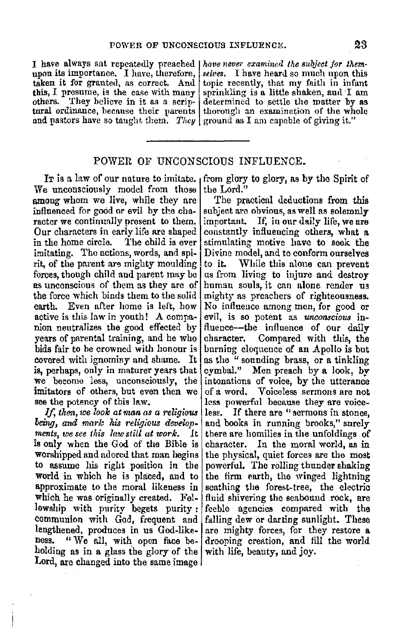I have always sat repeatedly preached | have never examined the subject for them-<br>upon its importance, I have, therefore, | selves. I have heard so much upon this upon its importance. I have, therefore,  $\vert$ 

taken it for granted, as correct. And topic recently, that my faith in infant this, I presume, is the case with many sprinkling is a little shaken, and I am others. They believe in it as a scrip- determined to settle the matter by as tural ordinance, because their parents thorough an examination of the whole and pastors have so taught them. *They* ground as I am capable of giving it."

### POWER OF UNCONSCIOUS INFLUENCE.

We unconsciously model from those l among whom we live, while they are influenced for good or evil by the character we continually present to them. Our characters in early life are shaped in the home circle. The child is ever imitating. The actions, words, and spirit, of the parent are mighty moulding forces, though child and parent may be as unconscious of them as they are of the force which binds them to the solid earth. Even after home is left, how active is this law in youth! A companion neutralizes the good effected by years of parental training, and he who bids fair to be crowned with honour is covered with ignominy and shame. It is, perhaps, only in maturer years that we become less, unconsciously, the imitators of others, but even then we see the potency of this law.

*If, then, we look at man as a religious being, and marlc his religious develop*  $ments, we see this law still at work.$ is only when the God of the Bible is worshipped and adored that man begins to assume his right position in the world in which he is placed, and to approximate to the moral likeness in which he was originally created. Fellowship with purity begets purity : communion with God, frequent and lengthened, produces in us God-likeness. "We all, with open face beholding as in a glass the glory of the Lord, are changed into the same image  $\sqrt{ }$ 

It is a law of our nature to imitate.  $\frac{1}{1}$  from glory to glory, as by the Spirit of the Lord."

> The practical deductions from this subject are obvious, as well as solemnly important. If, in our daily life, we are constantly influencing others, what a stimulating motive have to seek the Divine model, and to conform ourselves to it. While this alone can prevent us from living to injure and destroy human souls, it can alone render us mighty as preachers of righteousness. No influeuce among men, for good or evil, is so potent as *unconscious* influence-the influence of our daily character. Compared with this, the burning eloquence of an Apollo is but as the " sounding brass, or a tinkling cymbal." Men preach by a look, by intonations of voice, by the utterance of a word. Voiceless sermons are not less powerful because they are voiceless. If there are "sermons in stones, and books in running brooks," surely there are homilies in the unfoldings of character. In the moral world, as in the physical, quiet forces are the most powerful. The rolling thunder shaking the firm earth, the winged lightning scathing the forest-tree, the electric fluid shivering the seabound rock, are feeble agencies compared with the falling dew or darting sunlight. These are mighty forces, for they restore a drooping creation, and fill the world with life, beauty, and joy.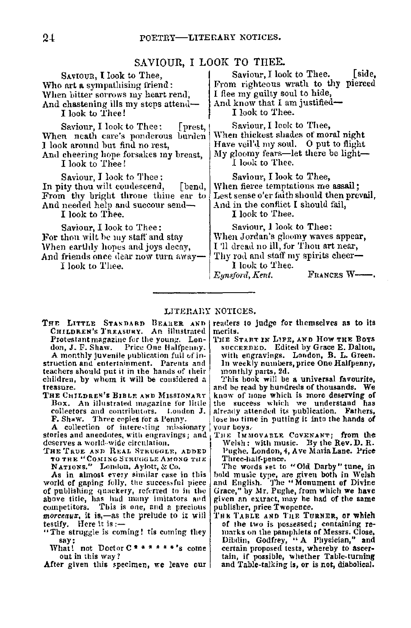## SAVIOUR, I LOOK TO THEE.

SAVIOUR, I look to Thee, Who art a sympathising friend: When hitter sorrows my heart rend. And chastening ills my steps attend-I look to Thee!

Saviour, I look to Thee: [prest, ! When neath care's ponderous burden I look around hut find no rest,

And cheering hope forsakes my breast, I look to Thee!

Saviour, I look to Thee: In pity thou wilt condescend, [bend, From thy bright throne thine ear to And needed help and succour send-

I look to Thee.

Saviour, I look to Thee : For thou wilt be my staff and stay When earthly hopes and joys decay, And friends once dear now turn away-

I look to Thee.

Saviour, I look to Thee. [side, From righteous wrath to thy pierced I flee my guilty soul to hide, And know that I am justified-I look to Thee.

Saviour, I look to Thee, When thickest shades of moral night Have veil'd my soul.  $\theta$  put to flight My gloomy fears-let there be light-I look to Thee.

Saviour, I look to Thee, When fierce temptations me **assail;**  Lest sense o'er faith should then prevail, And in the conflict I should fail, I look to Thee.

Saviour, I look to Thee: When Jordan's gloomy waves appear, I'll dread no ill, for Thou art near, Thy rod and staff my spirits cheer-I look to Thee.<br>Eunsford, Kent.

FRANCES W--.

### LITERARY NOTICES.

THE LITTLE STANDARD BEARER AND CHILDREN's TREASURY. An iilustrated Protestant magazine for the young. Lon-<br>don, J. F. Shaw. Price One Halfpenny. A monthly juvenile publication full of in-

struction and entertainment. Parents and teachers should put it in the hands of their children, by whom it will be considered a **treasure.** 

THE CHILDREN'S BIBLR AND MISSIONARY Box. An illustrated magazine for little collectors and contributors. London J. **collectors** and contributors. Londer **F.** Shaw. Three copies for a Penny.

**F.** Shaw. Three copies for **a** Penn)'. **A col1ectlo-n or intere-..ting- n1bsionary**   $stories and arecdotes, with engravings; and$ deserves a world-wide circulation.

THE TRUE AND REAL STRUGGLE, ADDED **TO THE "COMING STRUGGLE AMONG THE**  $N$ ATIONS." London, Aylott, & Co.

**As in almost every similar ease in this**  world of gaping folly, the successful piece of publishing quackery, referred to in the above title, has had many imitators and competitors. This is one, and a precious *morceaux*, it is,-as the prelude to it will testify. Here it is:--

- "The struggle is coming! tis coming they say;
	- What! not Doctor C \* \* \* \* \* \* 's come out in this way?

After given this specimen, we leave our

readers to judge for themselves **as to** its **merits.** 

THE START IN L1FE, AND How THE Boys succeenen. Edited by Grace E. Dalton, with engravings. London, B. L. Green. In weekly numbers, price One Halfpenny, 1non1hly parts, 2d.

This hook will be a universal favourite, and be read by hundreds of thousands. We know of none which is more deserving of the success which we understand has already attended its publication. Fathers, lose no time in putting it into the hands of your boys.-

THE IMMOVAELE COVENANT; from the Welsh: with music. By the Rev.D. R.<br>Pughe. London, 4, Ave Maria Lane. Price Pughe, London, 4, Ave Maria Lane. Price<br>Three-half-pence.

The words set to "Old Darby" tune, in hold music type, are given both in Welsh anti English. 'J'he •• Monument of Divine Grace," by Mr. Pughe, from which we have given an extract, may he had of the same publisher, price Twopence.

THE TABLE AND THE TURNER, or which<br>of the two is possessed; containing remarks on the pamphlets of Messrs. Close, Dibdin, Godfrey, " A Physician," and certain proposed tests, whereby to ascer-<br>tain, if possible, whether Table-turning and Table-talking is, or is not, diabolical,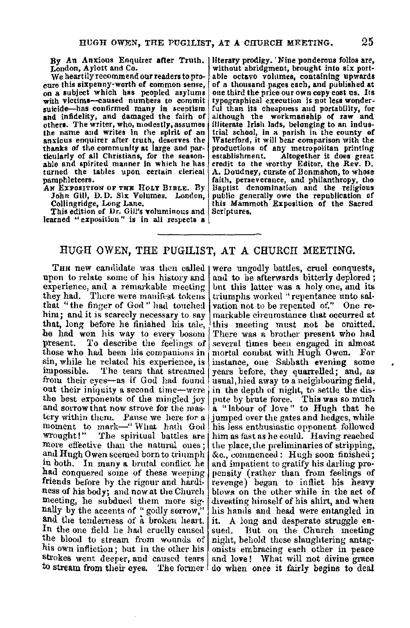By An Anxious Enquirer after Truth. London, Aylott and Co.

We heartily recommend our readers to pro-<br>cure this sixpenny-worth of common sense, on a subject which has peopled asylums with victims-caused numbers to commit suicide-has confirmed many in sceptism and infidelity, and damaged the faith of<br>others. The writer, who, modestly, assumes the name and writes in the spirit of an anxious enquirer after truth, deserves the thanks of the community at large and particularly of all Christians, for the season-<br>able and spirited manner in which he has turned the tables upon certain clerical pamphleteers.

AN EXPOSITION OF THE HOLY BIBLE. By John Gill, D.D. Six Volumes. London, Collingridge, Long Lane.

This edition of Dr. Gill's voluminous and learned " exposition" is in all respects  $a$ 

literary prodigy. 'Nine ponderous folios are, without abridgment, brought into six portable octavo volumes, containing upwards of a thousand pages eaeh, and published at one third the price our own copy cost us. Its typographical execution is not less wonderful than its cheapness and portability, for although the workmanship of raw and illiterate Irish lads, belonging to an industrial school, in a parish in the county of Waterford, it will bear comparison with the productions of any metropolitan printing establishment. Altogether it does great credit to the worthy Editor, the Rev. D. A. Doudney, curate of Bonmahon, to whose faith, perseverance, and philanthropy, the Baptist denomination and the religious public generally owe the republication of this Mammoth Exposition of the Sacred Scriptures.

### HUGH OWEN, THE PUGILIST, AT A CHURCH MEETING.

THH new candidate was then called were ungodly battles, cruel conquests, upon to relate some of his history and and to be afterwards bitterly deplored; experience, and a remarkable meeting but this latter was a holy one, and its they had. There were manifest tokens  $\{$  triumphs worked "repentance unto salthey had. There were manifest tokens triumphs worked "repentance unto sal-<br>that "the finger of God" had touched vation not to be repented of." One rethat "the finger of God" had touched vation not to be repented of." One rehim; and it is scarcely necessary to say markable circumstance that occurred at that, long before he finished his tale, this meeting must not be omitted. that, long before he finished his tale, this meeting must not be omitted.<br>he had won his way to every bosom There was a brother present who had he had won his way to every bosom There was a brother present who had present. To describe the feelings of several times been engaged in almost those who had been his companions in mortal combat with Hugh Owen. For  $sin$ , while he related his experience, is instance, one Sabbath evening some sin, while he related his experience, is instance, one Sabbath evening some impossible. The tears that streamed years before, they quarrelled; and, as from their eves—as if God had found usual, hied away to a neighbouring out their iniquity a second time—were in the depth of night, to settle the dis-<br>the best exponents of the mingled joy pute by brute force. This was so much and sorrow that now strove for the mas-  $a$  "labour of love" to Hugh that he tery within them. Pause we here for a jumped over the gates and hedges, while tery within them. Pause we here for a jumped over the gates and hedges, while moment to mark—"What hath God his less enthusiastic opponent followed moment to mark-" What hath God wrought!" The spiritual battles are wrought!" The spiritual battles are  $|\text{him}$  as fast as he could. Having reached more effective than the natural ones; the place, the preliminaries of stripping, and Hugh Owen seemed born to triumph  $|\&c_n\rangle$  commenced: Hug In both. In many a brutal conflict he and impatient to gratify his darling prohad conquered some of these weeping pensity (rather than from feelings of friends before by the rigour and hardi- revenge) began to inflict his heavy ness of his body; and now at the Church blows on the other while in the act of meeting, he subdued them more sig- divesting himself of his shirt, and when nally by the accents of "godly sorrow," his hands and head were entangled in and the tenderness of a broken heart, it. A long and desperate struggle enand the tenderness of a brokeu heart. it. A long and desperate struggle en-<br>In the one field he had cruelly caused sued. But on the Church meeting the blood to stream from wounds of night, behold these slaughtering antaghis own infliction; but in the other his onists embracing each other in peace strokes went deeper, and caused tears and love! What will not divine grace

and to be afterwards bitterly deplored; several times been engaged in almost usual, hied away to a neighbouring field, pute by brute force. This was so much &c., commenced: Hugh soon finished; to stream from their eyes. The former do when once it fairly begins to deal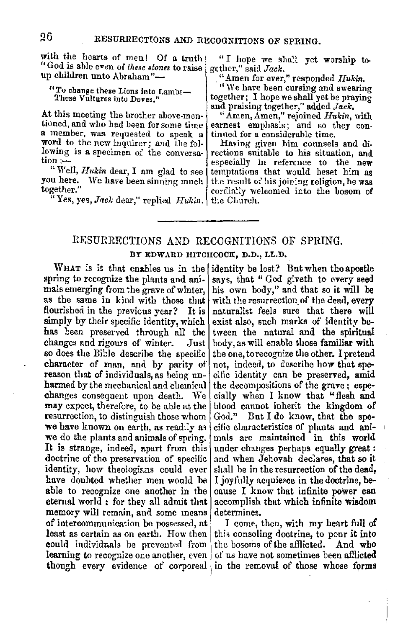with the hearts of men! Of a truth "God is able even of *these stones* to raise up children unto Abraham"-

### "To change these Lions into Lambs-These Vultures into Doves."

At this meeting the brother above-men-<br>tioned, and who had been for some time a member, was requested to speak a word to the new inquirer; and the following is a specimen of the conversa-<br>tion :-

" Well, *Hukin* dear, I am glad to see you here. We have been sinning much | together."

"Yes, yes, *Jack* dear," replied *Hukin*. the Church.

" I hope we shall yet worship together," said *Jack.* 

"Amen for ever," responded *Hukin.* 

"We have been cursing and swearing together; I hope we shall yet be praying and praising together," added *Jack,* 

"Amen, Amen," rejoined *Hukin,* with earnest emphasis; and so they con- tinued for a considerable time.

Having given him counsels and directions suitable to his situation, and<br>especially in reference to the new temptations that would heset him as the result of his joining religion, he was cordially welcomed into the bosom of

# RESURRECTIONS AND RECOGNITIONS OF SPRING. BY EDWARD HITCHCOCK, D.D., LL.D.

spring to recognize the plants and ani- says, that " God giveth to every seed mals emerging from the grave of winter, his own body," and that so it will be as the same in kind with those that with the resurrection of the dead, every flourished in the previous year? It is naturalist feels sure that there will simply by their specific identity, which exist also, such marks of identity besimply by their specific identity, which has been preserved through all the tween the natural and the spiritual changes and rigours of winter. Just body, as will enable those familiar with changes and rigours of winter. Just body, as will enable those familiar with so does the Bible describe the specific the one to recognize the other. I pretend character of man, and by parity of not, indeed, to describe how that spereason that of individuals, as being un- cific identity can be preserved, amid harmed by the mechanical and chemical the decompositions of the grave: espechanges consequent upon death. We cially when I know that "flesh and may expect, therefore, to be able at the blood cannot inherit the kingdom of resurrection, to distinguish those whom  $God$ ." But I do know, that the spewe do the plants and animals of spring.  $\vert$  mals are maintained in this world **It** is strange, indeed, apart from this under changes perhaps equally great: doctrine of the preservation of specific and when Jehovah declares, that so it identity, how theologians could ever shall be in the resurrection of the dead, have doubted whether men would be I joyfully acquiesce in the doctrine, beable to recognize one another in the cause I know that infinite power can eternal world : for they all admit that accomplish that which infinite wisdom memory will remain, and some means determines. of intercommunication be possessed, at  $\parallel$  1 come, then, with my heart full of least as certain as on earth. How then  $\vert$  this consoling doctrine, to pour it into could individuals be prevented from learning to recognize one another, even  $\vert$  of us have not sometimes been afflicted

WHAT is it that enables us in the identity be lost? But when the apostle his own body," and that so it will be the one, to recognize the other. I pretend we have known on earth, as readily as cific characteristics of plants and ani-

though every evidence of corporeal in the removal of those whose forms the bosoms of the afflicted. And who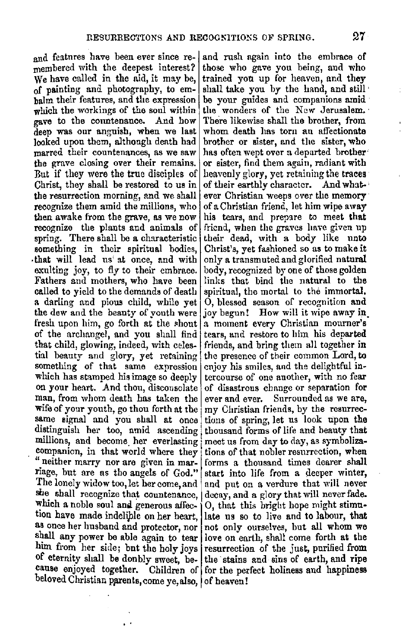membered with the deepest interest? those who gave you being, and who We have called in the aid, it may be, trained you up for heaven, and they of painting and photography, to em-<br>halm their features, and the expression balm their features, and the expression be your guides and companions amid which the workings of the soul within the wonders of the New Jerusalem. gave to the countenance. And how There likewise shall the brother, from<br>deep was our anguish, when we last whom death has torn an affectionate deep was our anguish, when we last whom death lias torn an affectionate looked upon them, although death had brother or sister, and the sister, who looked upon them, although death had marred their countenances, as we saw has often wept over a departed brother· the grave closing over their remains. or sister, find them again, radiant with But if they were the true disciples of heavenly glory, yet retaining the **traces**  Christ, they shall be restored to us in of their earthly character. And whatthe resurrection morning, and we shall ever Christian weeps over the memory recognize them amid the millions, who of a Christian friend, let him wipe away then awake from the grave, as we now his tears, and prepare to meet **that**  recognize the plants and animals of friend, when the graves have given up spring. There shall be a characteristic their dead, with a body like unto something in their spiritual bodies, Christ's, yet fashioned so as to make it that will lead us at once, and with only a transmuted and glorified natural that will lead us' at once, and with exulting joy, to fly to their embrace. Fathers and mothers, who have been links that bind the natural to the called to yield to the demands of death spiritual, the mortal to the immortal. called to yield to the demands of death a darling and pious child, while yet  $\vert 0$ , blessed season of recognition and the dew and the beauty of youth were joy begun! How will it wipe away in fresh upon him, go forth at the shout a monent every Christian monener's of the archangel, and you shall find tears, and restore to him his departed that ehild, glowing, indeed, with celes- friends, and bring them all together in tial beauty and glory, yet retaining the presence of their common Lord, **to**  something of that same expression enjoy his smiles, and the delightful inwhich has stamped his image so deeply tercourse of one another, with no fear on your heart. And thou, disconsolate of disastrous change or separation **for**  man, from whom death has taken the ever and ever. Surrounded as we are, wife of your youth, go thou forth at the  $|mv|$  Christian friends, by the resurrecsame signal and you shall at once tions of spring, let us look upon the distinguish her too, amid ascending thousand forms of life and beauty that millions, and become her everlasting meet us from day to day, as symbolizacompanion, in that world where they tions of that nobler resurrection, when " neither marry nor are given in mar- forms a thousand times dearer shall riage, but are as tho angels of God." start into life from a deeper winter, The lonely widow too, let her come, and and put on a verdure that will never she shall recognize that countenance, decay, and a glory that will never fade. which a noble soul and generous affec- 0, that this bright hope might stimution have made indelible on her heart, late us so to live and to labour, that as once her husband and protector, nor not only ourselves, but all whom we as once her husband and protector, nor shall any power be able again to tear love on earth, shall come forth at the him from her side; but the holy joys resurrection of the just, purified from of eternity shall be donbly sweet, be- the stains and sins of earth, and ripe cause enjoyed together. Children of for the perfect holiness and happiness beloved Christian parents, come ye, also, of heaven!

and features have been ever since re- and rush again into the embrace of membered with the deepest interest? those who gave you being, and who trained you up for heaven, and they shall take you by the hand, and still the wonders of the New Jerusalem.<sup>•</sup> of a Christian friend, let him wipe away their dead, with a body like unto body, recognized by one of those golden a moment every Christian mourner's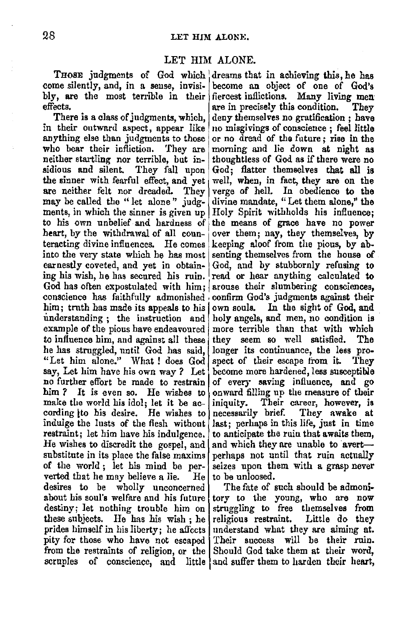## LET HIM ALONE.

THOSE judgments of God which dreams that in achieving this, he has me silently, and, in a sense, invisi- become an object of one of God's come silently, and, in a sense, invisi- become an object of one of God's bly, are the most terrible in their fiercest inflictions. Many living men bly, are the most terrible in their effects.

anything else than judgments to those or no dread of the future; rise in the who bear their infliction. They are morning and lie down at night as who bear their infliction. They are morning and lie down at night as neither startling nor terrible, but in-<br>thoughtless of God as if there were no neither startling nor terrible, but in-<br>sidious and silent. They fall upon the sinner with fearful effect, and yet are neither felt nor dreaded. They may be called the "let alone" judg- divine mandate, "Let them alone," the ments, in which the sinner is given up  $\lfloor$  Holy Spirit withholds his influence: ments, in which the sinner is given up<br>to his own unbelief and hardness of to his own unbelief and hardness of the means of grace have no power<br>heart, by the withdrawal of all coun-over them; nay, they themselves, by teracting divine influences. He comes keeping aloof from the pious, by ab-<br>into the very state which he has most senting themselves from the house of into the very state which he has most senting themselves from the house of earnestly coveted, and yet in obtain- $|$  God, and by stubbornly refusing to ing his wish, he has secured his ruin. read or hear anything calculated to God has often expostulated with  $\lim$ ; arouse their slumbering consciences, conscience has faithfully admonished confirm God's judgments against their him; truth has made its appeals to his own souls. In the sight of God, and understanding: the instruction and holy angels, and men, no condition is understanding ; the instruction and example of the pious have endeavoured more terrible than that with which to influence him, and against all these they seem so well satisfied. The has struggled, until God has said, longer its continuance, the less prohe has struggled, until God has said, "Let him alone." What ! does  $God$  spect of their escape from it. They sav. Let him have his own way ? Let become more hardened, less susceptible say, Let him have his own way ? Let become more hardened, less susceptible no further effort be made to restrain of every saying influence, and go no further effort be made to restrain of every saving influence, and go him? It is even so. He wishes to onward filling up the measure of their make the world his idol; let it be ac- iniquity. Their career, however, is cording ito his desire. He wishes to necessarily brief. They awake at cording ito his desire. He wishes to induige the lusts of the flesh without last; perhaps in this life, just in time restraint; let him have his indulgence. to anticipate the ruin that awaits them, He wishes to discredit the gospel, and  $|$  and which they are unable to avertsubstitute in its place the false maxims perhaps not until that ruin actually of the world ; let his mind be per- seizes upon them with a grasp never verted that he may believe a lie.  $\overline{He}$  to be unloosed. desires to be wholly unconcerned The fate of such should be admoniabout his soul's welfare and his future tory to the young, who are now destiny; let nothing trouble him on struggling to free themselves from these subjects. He has his wish; he religious restraint. Little do they prides himself in his liberty; he affects understand what they are aiming at. pity for those who have not escaped Their success will be their ruin. from the restraints of religion, or the Should God take them at their word, scruples of conscience, and little and suffer them to harden their heart,

ects.  $\begin{cases} \n \text{are in precisely this condition.} \n \end{cases}$  They<br>There is a class of judgments, which, deny themselves no gratification: have There is a class of judgments, which, deny themselves no gratification; have in their outward aspect, appear like no misgivings of conscience; feel little no misgivings of conscience; feel little or no dread of the future; rise in the God; flatter themselves that all is well, when, in fact, they are on the verge of hell. In obedience to the divine mandate, "Let them alone," the over them; nay, they themselves, by God, and by stubbornly refusing to onward filling up the measure of their<br>iniquity. Their career, however, is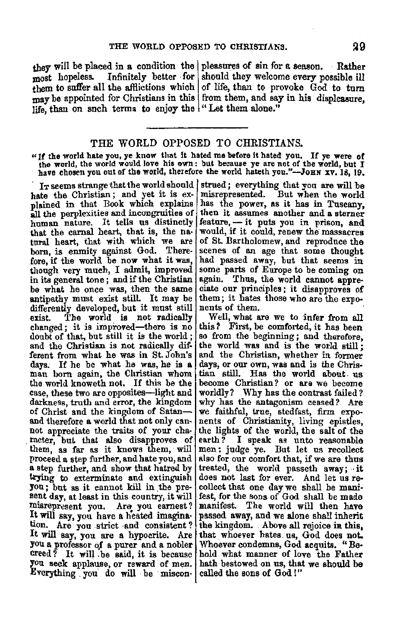they will be placed in a condition the pleasures of  $sin for a season$ . Rather most hopeless. Infinitely better for should they welcome every possible ill them to suffer all the afflictions which of life, than to provoke God to turn may be appointed for Christians in this from them, and say in his displeasure. life, than on such terms to enjoy the "Let them alone."

### THE WORLD OPPOSED TO CHRISTIANS.

"If the world hate you, ye know that it hated me before it hated you. If ye were of the world, the world would love his own : but because ye are not of the world, but I have chosen you out of the world, therefore the world hateth you."-JoHN XV. 18, 19.

hate the Christian; and yet it is ex-<br>plained in that Book which explains all the perplexities and incongruities of human nature. It tells us distinctly that the carnal heart, that is, the natural heart, that with which we are born, is enmity against God. Therefore, if the world be now what it was, though very much, I admit, improved in its general tone; and if the Christian<br>be what he once was, then the same antipathy must exist still. It may be differently developed, but it must still<br>exist. The world is not radically The world is not radically changed; it is improved-there is no doubt of that, but still it is the world; and the Christian is not radically dif. ferent from what he was in St. John's days. If he be what he was, he **is a** man born again, the Christian whom the world knoweth not. If this be the case, these two are opposites-light and darkness, truth and error, the kingdom of Christ and the kingdom of Satan-<br>and therefore a world that not only cannot appreciate the traits of your cha- racter, but that also disapproves of them, as far as it knows them, will proceed a step further, and hate you, and **a** step furtller, and show that hatred by trying· to exterminate and extinguish you; but as it cannot kill in the present day, at least in this country, it will misrepresent you. Are you earnest? It will say, you have a heated imagination. Are you strict and consistent? It will say, you are a hypocrite. Are you a professor of **a** purer and **a** nobler creed? It will be said, it is because you seek applause, or reward of men. you seek applause, or reward of men. hath bestowed on us, that Everything you do will be miscon- called the sons of God!"

I<sub>T</sub> seems strange that the world should strued; everything that you are will be misrepresented. But when the world has the power, as it has in Tuscany, then it assumes another and **a** sterner  $feature, - it puts you in prison, and would, if it could, remark the mass across the same.$ of St. Bartholomew, and reproduce the<br>scenes of an age that some thought<br>had passed away, but that seems in some parts of Europe to be coming on again. Thus, the world cannot appreciate our principles; it disapproves of them; it hates those who are the exponents of them.

Well, what are we to infer from all this? First, be comforted, it has been so from the beginning; and therefore, the world was and is the world still *;*  and the Christian, whether in former days, or our own, was and is the Chris• tian still. Has tile world about. us become Christian? or ars we become worldly? Why has the contrast failed? why has the antagonism ceased? Are we faithful, true, stedfast, firm exponents of Christianity, living epistles, the lights of the world, the salt of the earth *?* I speak as unto reasonable men: judge ye. But let us recollect also for our comfort that, if we are thus treated, the world passeth away; it does not last for ever. And let us re-<br>collect that one day we shall be manifest, for the sons of God shall be made manifest. The world will then have passed away, and we alone shall inherit the kingdom. Above all rejoice ia this, that whoever hates. us, God does not. Whoever condemns, God aequits. "Be• hold what manner of love the Father hath bestowed on us, that we should be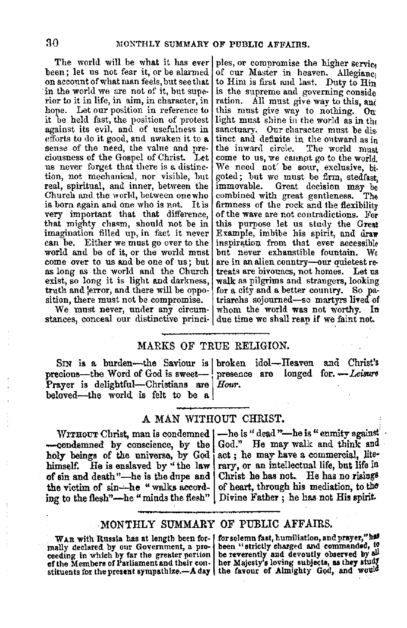The world will be what it has ever ples, or compromise the higher service been; let us not fear it, or be alarmed of our Master in heaven. Allegiance on account of what man feels, but see that in the world we are not of it, but superior to it in life, in aim, in character, in hope. Let our position in reference to it be held fast, the position of protest against its evil, and of usefulness in efforts to do it good, and awaken it to a sense of the need, the value and pre-<br>ciousness of the Gospel of Christ. Let us never forget that there is a distinction, not mechanical, nor visible, hut real, spiritual, and inner, between the Church aml the world, between onewho is born again and one who is not. It is very important that that difference, that mighty chasm, should not be in imagination filled up, in fact it never can be. Either we must go over to the world and be of it, or the world must<br>come over to us and be one of us: but as long as the world and the Church exist, so long it is light and darkness, truth and lerror, and there will be opposition, there must not be compromise.

We must never, under any circumstances, conceal our distinctive princi• due time we shall reap if we faint not.

of our Master in heaven. Allegianci to Him is first and last. Duty to Hin is the supreme and governing conside ration. All must give way to this, and this must give way to nothing. On light must shine in the world as in the sanctuary. Our character must be distinct and definite in the ontward as in<br>the inward circle. The world must come to us, we cannot go to the world. We need not be sour, exclusive, bigoted; but we must be firm, stedfast immovable. Great decision may be combined with great gentleness. The combined with great gentleness. firmness of the reek and the flexibility of the wave are not contradictions. For this purpose let us study the Great Example, imbibe his spirit, and **draw**  inspiration from that ever accessible<br>but never exhaustible fountain. We are in an alien country--our quietest re-<br>treats are bivouacs, not homes. Let us<br>walk as pilgrims and strangers, looking for a city and a better country. So pa• triarchs sojourned-so martyrs lived of whom the world was not worthy. In

## MARKS OF TRUE RELIGION.

Prayer is delightful-Christians are *Hour*. beloved--the world is felt to be a

SIN is a. burden-the Saviour is I broken idol-Heaven and Christ's SIN is a burden---the Saviour is broken idol-Heaven and Christ's<br>precious---the Word of God is sweet- presence are longed for. --Leisure

## A MAN WITHOUT CHRIST.

-condemned by conscience, by the God." He may walk and think and holy beings of the universe, by God act; he may have a commercial, litehimself. He is enslaved by "the law of sin and death "-he is the dupe and | Christ he has not. He has no risings the victim of sin--he " walks accord- | of heart, through his mediation, to the the victim of  $sin$ --he "walks according to the flesh"-he "minds the flesh" | Divine Father; he has not His spirit.

WITHOUT Christ, man is condemned |-he is "dead "-he is " enmity against rary, or an intellectual life, but life in

### MONTHLY SUMMARY OF PUBLIC AFFAIRS.

mally declared by our Government, a proceeding in which by far the greater portion be reverently and devoutly observed by all of the Members of Parliament and their con- her Majesty's loving subjects, as they stud{ stituents for the present sympathize.-A day the favour of Almighty God, and would

WAR with Russia has at length been for- for solemn fast, humiliation, and prayer,"has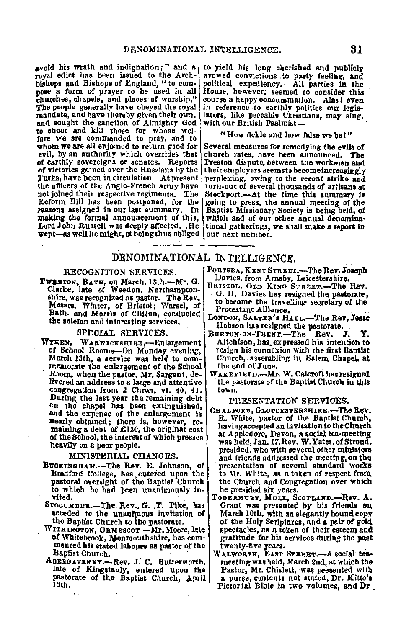avoid his wrath and indignation;" and a to yield his long cherished and publicly<br>royal edict has been issued to the Arch-| avowed convictions to party feeling, and bishops and Bishops of England, "to com- pose a form of prayer to be used in all churches, chapels, and places·of worship," The people generally have obeyed the royal mandate, and have thereby given their own, and sought the sanction of Almighty God to shoot and kill those for whose welfare we are commanded to pray, and to whom we are all enjoined to return good for whom we are all enjoined to return good for Several measures for remedying the evils of evils of evil, by an authority which overrides that church rates, have been aunounced. The of earthly sovereigns or senates. Reports Preston dispute, between the workmen and of earthly sovereigns or senates. Reports Preston dispute, between the workmen and of victories gained over the Russians by the their employers seemsto become increasingly of victories gained over the Russians by the  $\vert$  their employers seemsto become increasingly<br>Turks, have been in circulation. At present perplexing, owing to the recent strike and not joined their respective regiments. The Stockport.—At the time this summary is Reform Bill has been postponed, for the going to press, the annual meeting of the reasons assigned in our last summary. In Baptist Missiona making the formal announcement of this, which and of our other annual denomina-<br>Lord John Russell was deeply affected. He tional gatherings, we shall make a report in Lord John Russell was deeply affected. He wept-as well he might, at being thus obliged our next number.

avowed convictions to party feeling, and<br>political expediency. All parties in the House, however; seemed to consider this course a happy consummation. **Alas!** even in reference to earthly politics our legis-<br>lators, like peccable Christians, may sing, with our British Psalmist-

#### "How fickle and how false we be l"

Turks, have been in circulation. At present | perplexing, owing to the recent strike and<br>the officers of the Anglo-French army have | urn-out of several thousands of arisans at<br>not joined their respective regiments. The |

# DENOMINATIONAL INTELLIGENCE,

#### RECOGNITION SERVICES.

**TWERTON, BATH, on March, 13th.--Mr. G.<br>Clarke, late of Weedon, Northampton**shire, was recognized as pastor. The Rev.<br>Messrs. Winter, of Bristol; Warsel, of Bath. and Morris of Clifton, conducted the solemn and interesting services.

#### SPECIAL SERVICES.

WYKEN, WARWICKSHIRE.-Enlargement of School Rooms-On Monday evening, March 13th, a service was held to oom. memo:rate the enlargement of the School Room, when the pastor, Mr. Sargent, delivered an address to a large and attentive congregation from 2 Chron. vi. 40, 41. During the last year the remaining debt on the chapel has been extinguished, and the expense of the enlargement is<br>nearly obtained; there is, however, remaining a debt of  $\pounds130$ , the original cost of the School, the interest of which presses heavily on a poor people.

#### MINISTERIAL CHANGES.

- BUCKINGHAM.-The Rev. E. Johnson, of Bradford College, has entered upon the<br>pastoral oversight of the Baptist Church to which he had been unanimously invited.
- STOGUMBER.-The Rev., G. T. Pike, has acceded to the unanfluous invitation of the Baptist Church to the pastorate.
- WITHINGTON, ORMESCOT.—Mr. Moore, late<br>of Whitebrook, Monmouthshire, has com**menced his stated labours as pastor of the** Baptist Church.
- ABERGAVENNY.-Rev. J. C. Butterworth, late of Kingstanly, entered upon the pastorate of the Baptist Church, April 16th,
- PORTSEA, KENT STREET.-The Rev. Joseph Davies, from Arnsby, Leicestershire,
- BRISTOL, OLD KING STREET.-The Rev. **G. H. Davies has resigned the pastorate.** to become the travelling secretary of the. Protestant Alliance.<br>LONDON, SALTER's HALL.-The Rev. Jesse
- Hobson has resigned the pastorate.<br>URTON-ON-TRENT,—The Rev. J. Y.
- BURTON·ON-TRENT,-The Rev. Aitchison, has expressed his intention to resign his connexion with the first Baptist Church, assembling in Salem Chapel, at the end of June.
- WAKEFIELD.-Mr. W. Calcroft has resigned the pastorate of the Baptist Church in this<br>town.

PRESENTATION SERVICES.

- CHALPORD, GLOUCESTERSHIRE.-The Rev. R. White, pastor of the Baptist Church,<br>having accepted an invitation to the Church at Appledore, Devon, a social tea-meeting was held, Jan. 17, Rev. W.Yates, of Stroud, presided, who with several other ministers and friends addressed the meeting, on the presentation of several standard works to Mr. White, as a token of respect from, the Church and Congregation over which<br>he presided six years.
- TODERMURY, MULL, SCOTLAND.-Rev. A. Grant was presented by his friends on March 10th, with an elegantly bound copy of the Holy Scriptures, and a pair of gold spectacles, as a token of their esteem and gratitude for his services during the past
- WALWORTH, EAST STREET.-A social teameeting was held, March 2nd, at which the Pastor, Mr. Chislett, was presented with a purse, contents not stated, Dr. Kitto's Pictorial Bible in two volumes, and Dr.